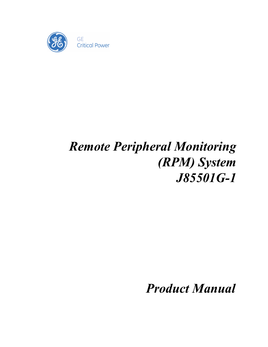

# *Remote Peripheral Monitoring (RPM) System J85501G-1*

*Product Manual*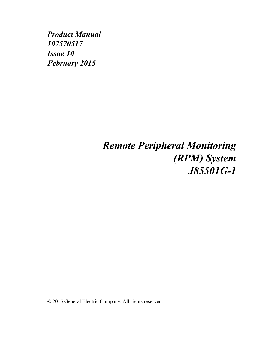*Product Manual 107570517 Issue 10 February 2015*

## *Remote Peripheral Monitoring (RPM) System J85501G-1*

© 2015 General Electric Company. All rights reserved.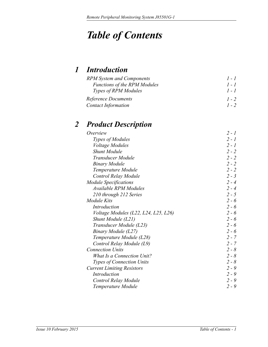## *Table of Contents*

### *[1](#page-12-0) [Introduction](#page-12-1)*

| <b>RPM</b> System and Components    | $1 - 1$ |
|-------------------------------------|---------|
| <b>Functions of the RPM Modules</b> | $1 - 1$ |
| <b>Types of RPM Modules</b>         | $1 - 1$ |
| Reference Documents                 | $1 - 2$ |
| <b>Contact Information</b>          | $1 - 2$ |

### *2 Product Description*

| Overview                             | $2 - 1$ |
|--------------------------------------|---------|
| Types of Modules                     | $2 - 1$ |
| <i>Voltage Modules</i>               | $2 - 1$ |
| <b>Shunt Module</b>                  | $2 - 2$ |
| Transducer Module                    | $2 - 2$ |
| <b>Binary Module</b>                 | $2 - 2$ |
| Temperature Module                   | $2 - 2$ |
| Control Relay Module                 | $2 - 3$ |
| <b>Module Specifications</b>         | $2 - 4$ |
| <b>Available RPM Modules</b>         | $2 - 4$ |
| 210 through 212 Series               | $2 - 5$ |
| Module Kits                          | $2 - 6$ |
| Introduction                         | $2 - 6$ |
| Voltage Modules (L22, L24, L25, L26) | $2 - 6$ |
| Shunt Module (L21)                   | $2 - 6$ |
| Transducer Module (L23)              | $2 - 6$ |
| Binary Module (L27)                  | $2 - 6$ |
| Temperature Module (L28)             | $2 - 7$ |
| Control Relay Module (L9)            | $2 - 7$ |
| <b>Connection Units</b>              | $2 - 8$ |
| <b>What Is a Connection Unit?</b>    | $2 - 8$ |
| Types of Connection Units            | $2 - 8$ |
| <b>Current Limiting Resistors</b>    | $2 - 9$ |
| Introduction                         | $2 - 9$ |
| Control Relay Module                 | $2 - 9$ |
| Temperature Module                   | $2 - 9$ |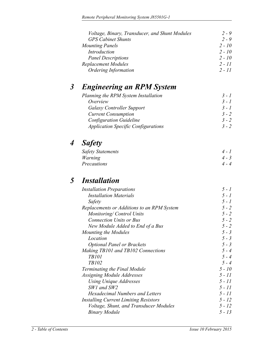| Voltage, Binary, Transducer, and Shunt Modules | $2 - 9$  |
|------------------------------------------------|----------|
| <b>GPS Cabinet Shunts</b>                      | $2 - 9$  |
| <b>Mounting Panels</b>                         | $2 - 10$ |
| <b>Introduction</b>                            | $2 - 10$ |
| <b>Panel Descriptions</b>                      | $2 - 10$ |
| Replacement Modules                            | $2 - 11$ |
| <b>Ordering Information</b>                    | $2 - 11$ |

### *[3](#page-26-0) [Engineering an RPM System](#page-26-1)*

| Planning the RPM System Installation       | $3 - 1$ |
|--------------------------------------------|---------|
| Overview                                   | $3 - 1$ |
| <b>Galaxy Controller Support</b>           | $3 - 1$ |
| <b>Current Consumption</b>                 | $3 - 2$ |
| <b>Configuration Guideline</b>             | $3 - 2$ |
| <b>Application Specific Configurations</b> | $3 - 2$ |

### *[4](#page-28-0) [Safety](#page-28-1)*

| Safety Statements | $4 - 1$ |
|-------------------|---------|
| Warning           | $4 - 3$ |
| Precautions       | $4 - 4$ |

### *[5](#page-33-0) [Installation](#page-33-1)*

| <b>Installation Preparations</b>           | $5 - 1$  |
|--------------------------------------------|----------|
| <b>Installation Materials</b>              | $5 - 1$  |
| Safety                                     | $5 - 1$  |
| Replacements or Additions to an RPM System | $5 - 2$  |
| Monitoring/Control Units                   | $5 - 2$  |
| <b>Connection Units or Bus</b>             | $5 - 2$  |
| New Module Added to End of a Bus           | $5 - 2$  |
| Mounting the Modules                       | $5 - 3$  |
| Location                                   | $5 - 3$  |
| <b>Optional Panel or Brackets</b>          | $5 - 3$  |
| Making TB101 and TB102 Connections         | $5 - 4$  |
| <b>TB101</b>                               | $5 - 4$  |
| TB102                                      | $5 - 4$  |
| Terminating the Final Module               | $5 - 10$ |
| Assigning Module Addresses                 | $5 - 11$ |
| Using Unique Addresses                     | 5 - 11   |
| SW1 and SW2                                | $5 - 11$ |
| <b>Hexadecimal Numbers and Letters</b>     | 5 - 11   |
| Installing Current Limiting Resistors      | $5 - 12$ |
| Voltage, Shunt, and Transducer Modules     | $5 - 12$ |
| <b>Binary Module</b>                       | 5 - 13   |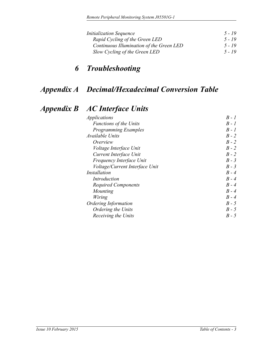| <i>Initialization Sequence</i>           | $5 - 19$ |
|------------------------------------------|----------|
| Rapid Cycling of the Green LED           | 5 - 19   |
| Continuous Illumination of the Green LED | $5 - 19$ |
| Slow Cycling of the Green LED            | $5 - 19$ |

### *[6](#page-53-0) [Troubleshooting](#page-53-1)*

### *[Appendix A](#page--1-0) [Decimal/Hexadecimal Conversion Table](#page--1-1)*

### *[Appendix B](#page-55-0) [AC Interface Units](#page-55-1)*

| <i>Applications</i>            | $B - I$ |
|--------------------------------|---------|
| <b>Functions of the Units</b>  | $B - I$ |
| <b>Programming Examples</b>    | $B - I$ |
| Available Units                | $B - 2$ |
| Overview                       | B - 2   |
| <i>Voltage Interface Unit</i>  | B - 2   |
| Current Interface Unit         | $B - 2$ |
| Frequency Interface Unit       | $B - 3$ |
| Voltage/Current Interface Unit | $B - 3$ |
| <i>Installation</i>            | $B - 4$ |
| Introduction                   | $B - 4$ |
| <b>Required Components</b>     | $B - 4$ |
| Mounting                       | $B - 4$ |
| Wiring                         | $B - 4$ |
| <b>Ordering Information</b>    | $B - 5$ |
| Ordering the Units             | $B - 5$ |
| Receiving the Units            | $B - 5$ |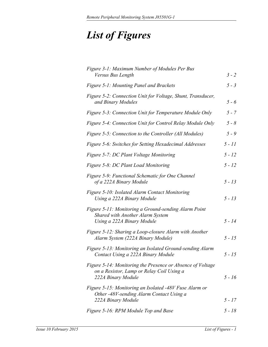## *List of Figures*

| Figure 3-1: Maximum Number of Modules Per Bus<br>Versus Bus Length                                                            | $3 - 2$  |
|-------------------------------------------------------------------------------------------------------------------------------|----------|
| <b>Figure 5-1: Mounting Panel and Brackets</b>                                                                                | $5 - 3$  |
| Figure 5-2: Connection Unit for Voltage, Shunt, Transducer,<br>and Binary Modules                                             | $5 - 6$  |
| Figure 5-3: Connection Unit for Temperature Module Only                                                                       | $5 - 7$  |
| Figure 5-4: Connection Unit for Control Relay Module Only                                                                     | $5 - 8$  |
| Figure 5-5: Connection to the Controller (All Modules)                                                                        | $5 - 9$  |
| Figure 5-6: Switches for Setting Hexadecimal Addresses                                                                        | $5 - 11$ |
| Figure 5-7: DC Plant Voltage Monitoring                                                                                       | $5 - 12$ |
| Figure 5-8: DC Plant Load Monitoring                                                                                          | $5 - 12$ |
| Figure 5-9: Functional Schematic for One Channel<br>of a 222A Binary Module                                                   | $5 - 13$ |
| Figure 5-10: Isolated Alarm Contact Monitoring<br>Using a 222A Binary Module                                                  | $5 - 13$ |
| Figure 5-11: Monitoring a Ground-sending Alarm Point<br>Shared with Another Alarm System<br>Using a 222A Binary Module        | $5 - 14$ |
| Figure 5-12: Sharing a Loop-closure Alarm with Another<br>Alarm System (222A Binary Module)                                   | $5 - 15$ |
| Figure 5-13: Monitoring an Isolated Ground-sending Alarm<br>Contact Using a 222A Binary Module                                | $5 - 15$ |
| Figure 5-14: Monitoring the Presence or Absence of Voltage<br>on a Resistor, Lamp or Relay Coil Using a<br>222A Binary Module | $5 - 16$ |
| Figure 5-15: Monitoring an Isolated -48V Fuse Alarm or<br>Other -48V-sending Alarm Contact Using a<br>222A Binary Module      | $5 - 17$ |
| Figure 5-16: RPM Module Top and Base                                                                                          | $5 - 18$ |
|                                                                                                                               |          |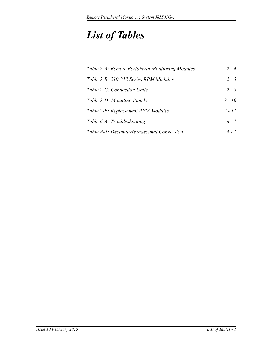## *List of Tables*

| Table 2-A: Remote Peripheral Monitoring Modules | $2 - 4$  |
|-------------------------------------------------|----------|
| Table 2-B: 210-212 Series RPM Modules           | $2 - 5$  |
| Table 2-C: Connection Units                     | $2 - 8$  |
| Table 2-D: Mounting Panels                      | $2 - 10$ |
| Table 2-E: Replacement RPM Modules              | $2 - 11$ |
| Table 6-A: Troubleshooting                      | $6 - 1$  |
| Table A-1: Decimal/Hexadecimal Conversion       | $A - I$  |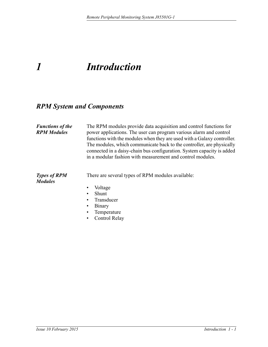## <span id="page-12-1"></span><span id="page-12-0"></span>*1 Introduction*

### <span id="page-12-2"></span>*RPM System and Components*

<span id="page-12-4"></span><span id="page-12-3"></span>

| <b>Functions of the</b><br><b>RPM Modules</b>                                                                                                 | The RPM modules provide data acquisition and control functions for<br>power applications. The user can program various alarm and control<br>functions with the modules when they are used with a Galaxy controller.<br>The modules, which communicate back to the controller, are physically<br>connected in a daisy-chain bus configuration. System capacity is added<br>in a modular fashion with measurement and control modules. |
|-----------------------------------------------------------------------------------------------------------------------------------------------|--------------------------------------------------------------------------------------------------------------------------------------------------------------------------------------------------------------------------------------------------------------------------------------------------------------------------------------------------------------------------------------------------------------------------------------|
| There are several types of RPM modules available:<br><b>Types of RPM</b><br><b>Modules</b><br>Voltage<br><b>Shunt</b><br>Transducer<br>Binary |                                                                                                                                                                                                                                                                                                                                                                                                                                      |
|                                                                                                                                               |                                                                                                                                                                                                                                                                                                                                                                                                                                      |
|                                                                                                                                               |                                                                                                                                                                                                                                                                                                                                                                                                                                      |
|                                                                                                                                               |                                                                                                                                                                                                                                                                                                                                                                                                                                      |
|                                                                                                                                               |                                                                                                                                                                                                                                                                                                                                                                                                                                      |
|                                                                                                                                               | Temperature                                                                                                                                                                                                                                                                                                                                                                                                                          |
|                                                                                                                                               | Control Relay                                                                                                                                                                                                                                                                                                                                                                                                                        |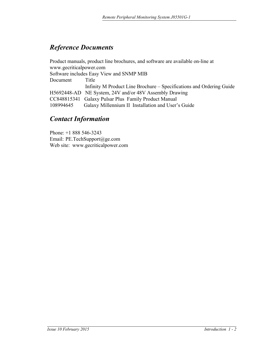### <span id="page-13-0"></span>*Reference Documents*

Product manuals, product line brochures, and software are available on-line at www.gecriticalpower.com Software includes Easy View and SNMP MIB Document Title Infinity M Product Line Brochure – Specifications and Ordering Guide H5692448-AD NE System, 24V and/or 48V Assembly Drawing CC848815341 Galaxy Pulsar Plus Family Product Manual 108994645 Galaxy Millennium II Installation and User's Guide

### *Contact Information*

Phone: +1 888 546-3243 Email: PE.TechSupport@ge.com Web site: www.gecriticalpower.com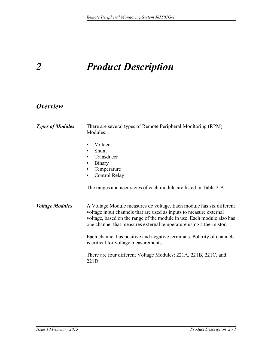## <span id="page-14-0"></span>*2 Product Description*

### <span id="page-14-1"></span>*Overview*

<span id="page-14-3"></span><span id="page-14-2"></span>

| <b>Types of Modules</b> | There are several types of Remote Peripheral Monitoring (RPM)<br>Modules:                                                                                                                                                                                                                 |  |
|-------------------------|-------------------------------------------------------------------------------------------------------------------------------------------------------------------------------------------------------------------------------------------------------------------------------------------|--|
|                         | Voltage<br>Shunt<br>Transducer<br>٠<br><b>Binary</b><br>٠<br>Temperature<br>Control Relay<br>$\bullet$<br>The ranges and accuracies of each module are listed in Table 2-A.                                                                                                               |  |
| <b>Voltage Modules</b>  | A Voltage Module measures de voltage. Each module has six different<br>voltage input channels that are used as inputs to measure external<br>voltage, based on the range of the module in use. Each module also has<br>one channel that measures external temperature using a thermistor. |  |
|                         | Each channel has positive and negative terminals. Polarity of channels<br>is critical for voltage measurements.                                                                                                                                                                           |  |
|                         | There are four different Voltage Modules: 221A, 221B, 221C, and<br>221D.                                                                                                                                                                                                                  |  |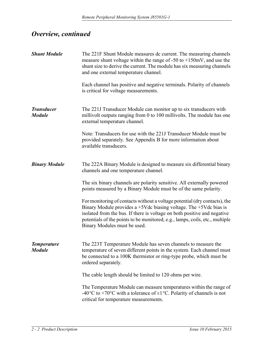### *Overview, continued*

<span id="page-15-3"></span><span id="page-15-2"></span><span id="page-15-1"></span><span id="page-15-0"></span>

| <b>Shunt Module</b>                 | The 221F Shunt Module measures dc current. The measuring channels<br>measure shunt voltage within the range of $-50$ to $+150$ mV, and use the<br>shunt size to derive the current. The module has six measuring channels<br>and one external temperature channel.                                                                                |
|-------------------------------------|---------------------------------------------------------------------------------------------------------------------------------------------------------------------------------------------------------------------------------------------------------------------------------------------------------------------------------------------------|
|                                     | Each channel has positive and negative terminals. Polarity of channels<br>is critical for voltage measurements.                                                                                                                                                                                                                                   |
| <b>Transducer</b><br><b>Module</b>  | The 221J Transducer Module can monitor up to six transducers with<br>millivolt outputs ranging from 0 to 100 millivolts. The module has one<br>external temperature channel.                                                                                                                                                                      |
|                                     | Note: Transducers for use with the 221J Transducer Module must be<br>provided separately. See Appendix B for more information about<br>available transducers.                                                                                                                                                                                     |
| <b>Binary Module</b>                | The 222A Binary Module is designed to measure six differential binary<br>channels and one temperature channel.                                                                                                                                                                                                                                    |
|                                     | The six binary channels are polarity sensitive. All externally powered<br>points measured by a Binary Module must be of the same polarity.                                                                                                                                                                                                        |
|                                     | For monitoring of contacts without a voltage potential (dry contacts), the<br>Binary Module provides a $+5$ Vdc biasing voltage. The $+5$ Vdc bias is<br>isolated from the bus. If there is voltage on both positive and negative<br>potentials of the points to be monitored, e.g., lamps, coils, etc., multiple<br>Binary Modules must be used. |
| <b>Temperature</b><br><b>Module</b> | The 223T Temperature Module has seven channels to measure the<br>temperature of seven different points in the system. Each channel must<br>be connected to a 100K thermistor or ring-type probe, which must be<br>ordered separately.                                                                                                             |
|                                     | The cable length should be limited to 120 ohms per wire.                                                                                                                                                                                                                                                                                          |
|                                     | The Temperature Module can measure temperatures within the range of<br>-40 <sup>o</sup> C to +70 <sup>o</sup> C with a tolerance of $\pm 1$ <sup>o</sup> C. Polarity of channels is not<br>critical for temperature measurements.                                                                                                                 |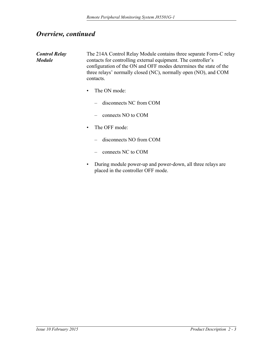### *Overview, continued*

<span id="page-16-0"></span>

| <b>Control Relay</b><br><b>Module</b> | The 214A Control Relay Module contains three separate Form-C relay<br>contacts for controlling external equipment. The controller's<br>configuration of the ON and OFF modes determines the state of the<br>three relays' normally closed (NC), normally open (NO), and COM<br>contacts. |
|---------------------------------------|------------------------------------------------------------------------------------------------------------------------------------------------------------------------------------------------------------------------------------------------------------------------------------------|
|                                       | The ON mode:<br>$\bullet$                                                                                                                                                                                                                                                                |
|                                       | disconnects NC from COM                                                                                                                                                                                                                                                                  |
|                                       | connects NO to COM                                                                                                                                                                                                                                                                       |
|                                       | The OFF mode:<br>$\bullet$                                                                                                                                                                                                                                                               |
|                                       | disconnects NO from COM                                                                                                                                                                                                                                                                  |
|                                       | connects NC to COM                                                                                                                                                                                                                                                                       |
|                                       | • During module nower up and nower down all three relays are                                                                                                                                                                                                                             |

• During module power-up and power-down, all three relays are placed in the controller OFF mode.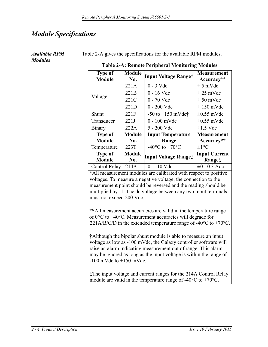### <span id="page-17-0"></span>*Module Specifications*

#### <span id="page-17-1"></span>*Available RPM Modules*

Table 2-A gives the specifications for the available RPM modules.

<span id="page-17-2"></span>

| <b>Type of</b><br><b>Module</b> | <b>Module</b><br>No. | <b>Input Voltage Range*</b>                  | <b>Measurement</b><br>Accuracy** |
|---------------------------------|----------------------|----------------------------------------------|----------------------------------|
|                                 | 221A                 | $0 - 3$ Vdc                                  | $\pm$ 5 mVdc                     |
| Voltage                         | 221B                 | $0 - 16$ Vdc                                 | $\pm 25$ mVdc                    |
|                                 | 221C                 | $0 - 70$ Vdc                                 | $\pm 50$ mVdc                    |
|                                 | 221D                 | $0 - 200$ Vdc                                | $\pm 150$ mVdc                   |
| Shunt                           | 221F                 | $-50$ to $+150$ mVdc†                        | $\pm 0.55$ mVdc                  |
| Transducer                      | 221J                 | 0 - 100 mVdc                                 | $\pm 0.55$ mVdc                  |
| Binary                          | 222A                 | 5 - 200 Vdc                                  | $\pm 1.5$ Vdc                    |
| <b>Type of</b>                  | <b>Module</b>        | <b>Input Temperature</b>                     | Measurement                      |
| <b>Module</b>                   | No.                  | Range                                        | Accuracy**                       |
| Temperature                     | 223T                 | -40 $\rm{^{\circ}C}$ to +70 $\rm{^{\circ}C}$ | $\pm 1$ °C                       |
| <b>Type of</b>                  | <b>Module</b>        | Input Voltage Range <sup>t</sup>             | <b>Input Current</b>             |
| <b>Module</b>                   | No.                  |                                              | Range‡                           |
| Control Relay                   | 214A                 | 0 - 110 Vdc                                  | $\pm 0$ - 0.3 Adc                |

#### **Table 2-A: Remote Peripheral Monitoring Modules**

**\***All measurement modules are calibrated with respect to positive voltages. To measure a negative voltage, the connection to the measurement point should be reversed and the reading should be multiplied by -1. The dc voltage between any two input terminals must not exceed 200 Vdc.

**\*\***All measurement accuracies are valid in the temperature range of 0°C to +40°C. Measurement accuracies will degrade for 221A/B/C/D in the extended temperature range of -40 $^{\circ}$ C to +70 $^{\circ}$ C.

**†**Although the bipolar shunt module is able to measure an input voltage as low as -100 mVdc, the Galaxy controller software will raise an alarm indicating measurement out of range. This alarm may be ignored as long as the input voltage is within the range of  $-100$  mVdc to  $+150$  mVdc.

**‡**The input voltage and current ranges for the 214A Control Relay module are valid in the temperature range of -40 $^{\circ}$ C to +70 $^{\circ}$ C.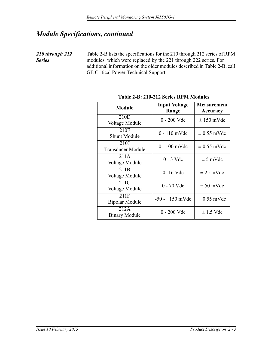### *Module Specifications, continued*

<span id="page-18-0"></span>*210 through 212 Series*

Table 2-B lists the specifications for the 210 through 212 series of RPM modules, which were replaced by the 221 through 222 series. For additional information on the older modules described in Table 2-B, call GE Critical Power Technical Support.

<span id="page-18-1"></span>

| <b>Module</b>                      | <b>Input Voltage</b><br>Range | <b>Measurement</b><br>Accuracy |
|------------------------------------|-------------------------------|--------------------------------|
| 210 <sub>D</sub><br>Voltage Module | $0 - 200$ Vdc                 | $\pm 150$ mVdc                 |
| 210F<br><b>Shunt Module</b>        | $0 - 110$ mVdc                | $\pm$ 0.55 mVdc                |
| 210J<br><b>Transducer Module</b>   | $0 - 100$ mVdc                | $\pm$ 0.55 mVdc                |
| 211A<br>Voltage Module             | $0 - 3$ Vdc                   | $\pm$ 5 mVdc                   |
| 211 <sub>B</sub><br>Voltage Module | $0 - 16$ Vdc                  | $\pm 25$ mVdc                  |
| 211C<br>Voltage Module             | $0 - 70$ Vdc                  | $\pm 50$ mVdc                  |
| 211F<br><b>Bipolar Module</b>      | $-50 - +150$ mVdc             | $\pm$ 0.55 mVdc                |
| 212A<br><b>Binary Module</b>       | $0 - 200$ Vdc                 | $\pm$ 1.5 Vdc                  |

**Table 2-B: 210-212 Series RPM Modules**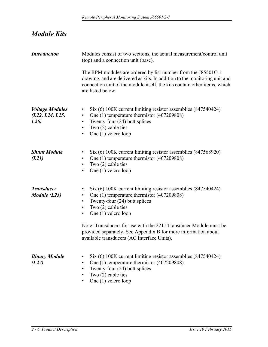<span id="page-19-0"></span>

| <b>Module Kits</b> |  |
|--------------------|--|
|--------------------|--|

<span id="page-19-5"></span><span id="page-19-4"></span><span id="page-19-3"></span><span id="page-19-2"></span><span id="page-19-1"></span>

| <b>Introduction</b>                               | Modules consist of two sections, the actual measurement/control unit<br>(top) and a connection unit (base).                                                                                                                                                                                                                                                                                                                          |  |
|---------------------------------------------------|--------------------------------------------------------------------------------------------------------------------------------------------------------------------------------------------------------------------------------------------------------------------------------------------------------------------------------------------------------------------------------------------------------------------------------------|--|
|                                                   | The RPM modules are ordered by list number from the J85501G-1<br>drawing, and are delivered as kits. In addition to the monitoring unit and<br>connection unit of the module itself, the kits contain other items, which<br>are listed below.                                                                                                                                                                                        |  |
| <b>Voltage Modules</b><br>(L22, L24, L25,<br>L26) | Six (6) 100K current limiting resistor assemblies (847540424)<br>٠<br>One (1) temperature thermistor (407209808)<br>$\bullet$<br>Twenty-four (24) butt splices<br>$\bullet$<br>Two $(2)$ cable ties<br>$\bullet$<br>One $(1)$ velcro loop<br>٠                                                                                                                                                                                       |  |
| <b>Shunt Module</b><br>(L21)                      | Six (6) 100K current limiting resistor assemblies (847568920)<br>٠<br>One (1) temperature thermistor (407209808)<br>$\bullet$<br>Two $(2)$ cable ties<br>$\bullet$<br>One $(1)$ velcro loop<br>$\bullet$                                                                                                                                                                                                                             |  |
| <b>Transducer</b><br>Module $(L23)$               | Six (6) 100K current limiting resistor assemblies (847540424)<br>٠<br>One (1) temperature thermistor (407209808)<br>$\bullet$<br>Twenty-four (24) butt splices<br>$\bullet$<br>Two $(2)$ cable ties<br>$\bullet$<br>One $(1)$ velcro loop<br>٠<br>Note: Transducers for use with the 221J Transducer Module must be<br>provided separately. See Appendix B for more information about<br>available transducers (AC Interface Units). |  |
| <b>Binary Module</b><br>(L27)                     | Six (6) 100K current limiting resistor assemblies (847540424)<br>One (1) temperature thermistor (407209808)<br>Twenty-four (24) butt splices<br>٠<br>Two $(2)$ cable ties<br>One $(1)$ velcro loop                                                                                                                                                                                                                                   |  |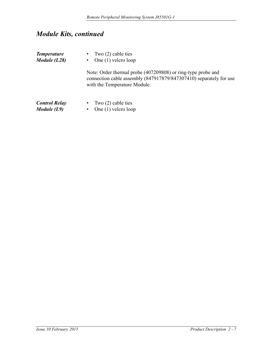### *Module Kits, continued*

<span id="page-20-1"></span><span id="page-20-0"></span>

| <b>Temperature</b><br>Module $(L28)$  | • Two $(2)$ cable ties<br>• One $(1)$ velcro loop                                                                                                                  |
|---------------------------------------|--------------------------------------------------------------------------------------------------------------------------------------------------------------------|
|                                       | Note: Order thermal probe (407209808) or ring-type probe and<br>connection cable assembly (847917879/847307410) separately for use<br>with the Temperature Module. |
| <b>Control Relay</b><br>Module $(L9)$ | • Two $(2)$ cable ties<br>One $(1)$ velcro loop<br>٠                                                                                                               |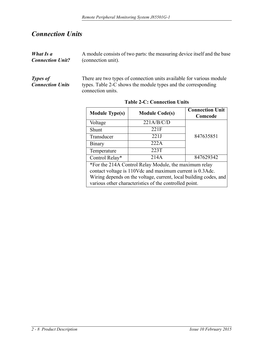### <span id="page-21-0"></span>*Connection Units*

<span id="page-21-2"></span>*Types of* 

*Connection Units*

<span id="page-21-1"></span>

| What Is a               | A module consists of two parts: the measuring device itself and the base |  |  |
|-------------------------|--------------------------------------------------------------------------|--|--|
| <b>Connection Unit?</b> | (connection unit).                                                       |  |  |
|                         |                                                                          |  |  |
|                         |                                                                          |  |  |

There are two types of connection units available for various module types. Table 2-C shows the module types and the corresponding connection units.

<span id="page-21-3"></span>

| <b>Module Type(s)</b>                                                                                                       | <b>Module Code(s)</b> | <b>Connection Unit</b><br>Comcode |
|-----------------------------------------------------------------------------------------------------------------------------|-----------------------|-----------------------------------|
| Voltage                                                                                                                     | 221A/B/C/D            |                                   |
| Shunt                                                                                                                       | 221F                  |                                   |
| Transducer                                                                                                                  | 221J                  | 847635851                         |
| Binary                                                                                                                      | 222A                  |                                   |
| Temperature                                                                                                                 | 223T                  |                                   |
| Control Relay*                                                                                                              | 214A                  | 847629342                         |
| *For the 214A Control Relay Module, the maximum relay<br>contact voltage is 110Vdc and maximum current is 0.3Adc.           |                       |                                   |
| Wiring depends on the voltage, current, local building codes, and<br>various other characteristics of the controlled point. |                       |                                   |

**Table 2-C: Connection Units**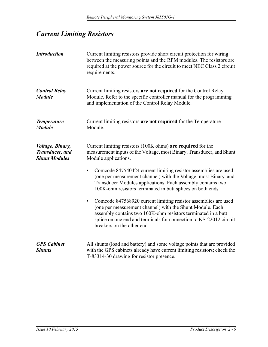### <span id="page-22-0"></span>*Current Limiting Resistors*

<span id="page-22-2"></span><span id="page-22-1"></span>

| <b>Introduction</b>                                         | Current limiting resistors provide short circuit protection for wiring<br>between the measuring points and the RPM modules. The resistors are<br>required at the power source for the circuit to meet NEC Class 2 circuit<br>requirements.                                                                     |
|-------------------------------------------------------------|----------------------------------------------------------------------------------------------------------------------------------------------------------------------------------------------------------------------------------------------------------------------------------------------------------------|
| <b>Control Relay</b><br><b>Module</b>                       | Current limiting resistors are not required for the Control Relay<br>Module. Refer to the specific controller manual for the programming<br>and implementation of the Control Relay Module.                                                                                                                    |
| <b>Temperature</b><br><b>Module</b>                         | Current limiting resistors are not required for the Temperature<br>Module.                                                                                                                                                                                                                                     |
| Voltage, Binary,<br>Transducer, and<br><b>Shunt Modules</b> | Current limiting resistors (100K ohms) are required for the<br>measurement inputs of the Voltage, most Binary, Transducer, and Shunt<br>Module applications.                                                                                                                                                   |
|                                                             | Comcode 847540424 current limiting resistor assemblies are used<br>(one per measurement channel) with the Voltage, most Binary, and<br>Transducer Modules applications. Each assembly contains two<br>100K-ohm resistors terminated in butt splices on both ends.                                              |
|                                                             | Comcode 847568920 current limiting resistor assemblies are used<br>$\bullet$<br>(one per measurement channel) with the Shunt Module. Each<br>assembly contains two 100K-ohm resistors terminated in a butt<br>splice on one end and terminals for connection to KS-22012 circuit<br>breakers on the other end. |
| <b>GPS</b> Cabinet<br><b>Shunts</b>                         | All shunts (load and battery) and some voltage points that are provided<br>with the GPS cabinets already have current limiting resistors; check the<br>T-83314-30 drawing for resistor presence.                                                                                                               |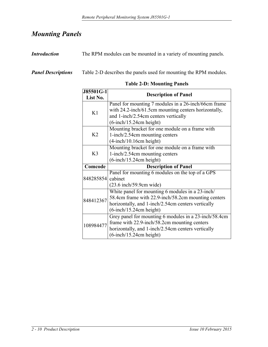### <span id="page-23-0"></span>*Mounting Panels*

<span id="page-23-1"></span>*Introduction* The RPM modules can be mounted in a variety of mounting panels.

<span id="page-23-2"></span>*Panel Descriptions* Table 2-D describes the panels used for mounting the RPM modules.

<span id="page-23-3"></span>

| J85501G-1                                       | <b>Description of Panel</b>                           |  |
|-------------------------------------------------|-------------------------------------------------------|--|
| List No.                                        |                                                       |  |
|                                                 | Panel for mounting 7 modules in a 26-inch/66cm frame  |  |
| K1                                              | with 24.2-inch/61.5cm mounting centers horizontally,  |  |
|                                                 | and 1-inch/2.54cm centers vertically                  |  |
|                                                 | $(6\text{-inch}/15.24\text{cm height})$               |  |
|                                                 | Mounting bracket for one module on a frame with       |  |
| K <sub>2</sub>                                  | 1-inch/2.54cm mounting centers                        |  |
|                                                 | $(4$ -inch/10.16cm height)                            |  |
| Mounting bracket for one module on a frame with |                                                       |  |
| K3                                              | 1-inch/2.54cm mounting centers                        |  |
|                                                 | $(6\text{-inch}/15.24\text{cm height})$               |  |
| Comcode                                         | <b>Description of Panel</b>                           |  |
|                                                 | Panel for mounting 6 modules on the top of a GPS      |  |
| 848285854                                       | cabinet                                               |  |
|                                                 | $(23.6 \text{ inch}/59.9 \text{cm wide})$             |  |
|                                                 | White panel for mounting 6 modules in a 23-inch/      |  |
| 848412367                                       | 58.4cm frame with 22.9-inch/58.2cm mounting centers   |  |
|                                                 | horizontally, and 1-inch/2.54cm centers vertically    |  |
|                                                 | $(6\text{-inch}/15.24\text{cm height})$               |  |
|                                                 | Grey panel for mounting 6 modules in a 23-inch/58.4cm |  |
| 108984477                                       | frame with 22.9-inch/58.2cm mounting centers          |  |
|                                                 | horizontally, and 1-inch/2.54cm centers vertically    |  |
|                                                 | $(6\text{-inch}/15.24\text{cm height})$               |  |

**Table 2-D: Mounting Panels**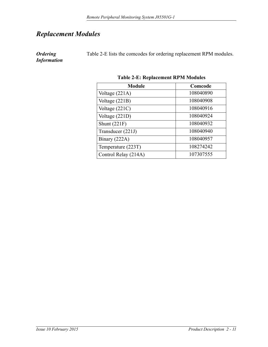### <span id="page-24-0"></span>*Replacement Modules*

<span id="page-24-1"></span>*Ordering Information* Table 2-E lists the comcodes for ordering replacement RPM modules.

<span id="page-24-2"></span>

| T ADIC 2-E. INCLIANCIATURE IN 191 DECIDENT |           |  |
|--------------------------------------------|-----------|--|
| <b>Module</b>                              | Comcode   |  |
| Voltage (221A)                             | 108040890 |  |
| Voltage $(221B)$                           | 108040908 |  |
| Voltage $(221C)$                           | 108040916 |  |
| Voltage (221D)                             | 108040924 |  |
| Shunt $(221F)$                             | 108040932 |  |
| Transducer (221J)                          | 108040940 |  |
| Binary (222A)                              | 108040957 |  |
| Temperature (223T)                         | 108274242 |  |
| Control Relay (214A)                       | 107307555 |  |

**Table 2-E: Replacement RPM Modules**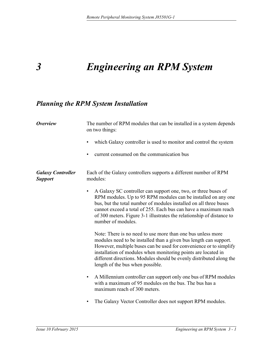## <span id="page-26-1"></span><span id="page-26-0"></span>*3 Engineering an RPM System*

### <span id="page-26-2"></span>*Planning the RPM System Installation*

<span id="page-26-4"></span><span id="page-26-3"></span>

| <b>Overview</b>                            | The number of RPM modules that can be installed in a system depends<br>on two things:                                                                                                                                                                                                                                                                                               |  |  |
|--------------------------------------------|-------------------------------------------------------------------------------------------------------------------------------------------------------------------------------------------------------------------------------------------------------------------------------------------------------------------------------------------------------------------------------------|--|--|
|                                            | which Galaxy controller is used to monitor and control the system                                                                                                                                                                                                                                                                                                                   |  |  |
|                                            | current consumed on the communication bus                                                                                                                                                                                                                                                                                                                                           |  |  |
| <b>Galaxy Controller</b><br><b>Support</b> | Each of the Galaxy controllers supports a different number of RPM<br>modules:                                                                                                                                                                                                                                                                                                       |  |  |
|                                            | A Galaxy SC controller can support one, two, or three buses of<br>$\bullet$<br>RPM modules. Up to 95 RPM modules can be installed on any one<br>bus, but the total number of modules installed on all three buses<br>cannot exceed a total of 255. Each bus can have a maximum reach<br>of 300 meters. Figure 3-1 illustrates the relationship of distance to<br>number of modules. |  |  |
|                                            | Note: There is no need to use more than one bus unless more<br>modules need to be installed than a given bus length can support.<br>However, multiple buses can be used for convenience or to simplify<br>installation of modules when monitoring points are located in<br>different directions. Modules should be evenly distributed along the<br>length of the bus when possible. |  |  |
|                                            | A Millennium controller can support only one bus of RPM modules<br>$\bullet$<br>with a maximum of 95 modules on the bus. The bus has a<br>maximum reach of 300 meters.                                                                                                                                                                                                              |  |  |
|                                            | The Galaxy Vector Controller does not support RPM modules.<br>$\bullet$                                                                                                                                                                                                                                                                                                             |  |  |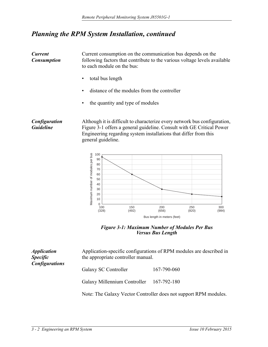### *Planning the RPM System Installation, continued*

<span id="page-27-0"></span>

| <b>Current</b><br><b>Consumption</b> | Current consumption on the communication bus depends on the<br>following factors that contribute to the various voltage levels available<br>to each module on the bus:                                                                       |  |
|--------------------------------------|----------------------------------------------------------------------------------------------------------------------------------------------------------------------------------------------------------------------------------------------|--|
|                                      | total bus length                                                                                                                                                                                                                             |  |
|                                      | distance of the modules from the controller<br>$\bullet$                                                                                                                                                                                     |  |
|                                      | the quantity and type of modules                                                                                                                                                                                                             |  |
| Configuration<br><b>Guideline</b>    | Although it is difficult to characterize every network bus configuration,<br>Figure 3-1 offers a general guideline. Consult with GE Critical Power<br>Engineering regarding system installations that differ from this<br>general guideline. |  |

<span id="page-27-1"></span>

<span id="page-27-3"></span>*Figure 3-1: Maximum Number of Modules Per Bus Versus Bus Length*

<span id="page-27-2"></span>

| <i><b>Application</b></i><br><b>Specific</b><br><b>Configurations</b> | the appropriate controller manual.                               | Application-specific configurations of RPM modules are described in |  |
|-----------------------------------------------------------------------|------------------------------------------------------------------|---------------------------------------------------------------------|--|
|                                                                       | Galaxy SC Controller                                             | 167-790-060                                                         |  |
|                                                                       | Galaxy Millennium Controller 167-792-180                         |                                                                     |  |
|                                                                       | Note: The Galaxy Vector Controller does not support RPM modules. |                                                                     |  |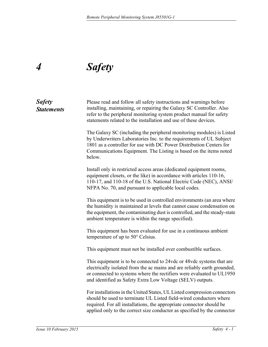## <span id="page-28-1"></span><span id="page-28-0"></span>*4 Safety*

### <span id="page-28-2"></span>*Safety Statements* Please read and follow all safety instructions and warnings before installing, maintaining, or repairing the Galaxy SC Controller. Also refer to the peripheral monitoring system product manual for safety statements related to the installation and use of these devices. The Galaxy SC (including the peripheral monitoring modules) is Listed by Underwriters Laboratories Inc. to the requirements of UL Subject 1801 as a controller for use with DC Power Distribution Centers for Communications Equipment. The Listing is based on the items noted below. Install only in restricted access areas (dedicated equipment rooms, equipment closets, or the like) in accordance with articles 110-16, 110-17, and 110-18 of the U.S. National Electric Code (NEC), ANSI/ NFPA No. 70, and pursuant to applicable local codes. This equipment is to be used in controlled environments (an area where the humidity is maintained at levels that cannot cause condensation on the equipment, the contaminating dust is controlled, and the steady-state ambient temperature is within the range specified). This equipment has been evaluated for use in a continuous ambient temperature of up to 50° Celsius. This equipment must not be installed over combustible surfaces. This equipment is to be connected to 24vdc or 48vdc systems that are electrically isolated from the ac mains and are reliably earth grounded, or connected to systems where the rectifiers were evaluated to UL1950 and identified as Safety Extra Low Voltage (SELV) outputs. For installations in the United States, UL Listed compression connectors should be used to terminate UL Listed field-wired conductors where required. For all installations, the appropriate connector should be applied only to the correct size conductor as specified by the connector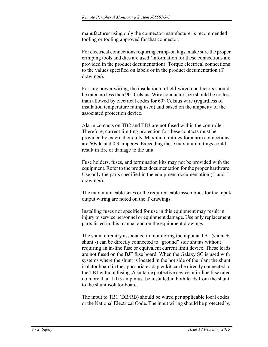manufacturer using only the connector manufacturer's recommended tooling or tooling approved for that connector.

For electrical connections requiring crimp-on lugs, make sure the proper crimping tools and dies are used (information for these connections are provided in the product documentation). Torque electrical connections to the values specified on labels or in the product documentation (T drawings).

For any power wiring, the insulation on field-wired conductors should be rated no less than 90° Celsius. Wire conductor size should be no less than allowed by electrical codes for 60° Celsius wire (regardless of insulation temperature rating used) and based on the ampacity of the associated protection device.

Alarm contacts on TB2 and TB3 are not fused within the controller. Therefore, current limiting protection for these contacts must be provided by external circuits. Maximum ratings for alarm connections are 60vdc and 0.3 amperes. Exceeding these maximum ratings could result in fire or damage to the unit.

Fuse holders, fuses, and termination kits may not be provided with the equipment. Refer to the product documentation for the proper hardware. Use only the parts specified in the equipment documentation (T and J drawings).

The maximum cable sizes or the required cable assemblies for the input/ output wiring are noted on the T drawings.

Installing fuses not specified for use in this equipment may result in injury to service personnel or equipment damage. Use only replacement parts listed in this manual and on the equipment drawings.

The shunt circuitry associated to monitoring the input at TB1 (shunt +, shunt -) can be directly connected to "ground" side shunts without requiring an in-line fuse or equivalent current limit device. These leads are not fused on the BJF fuse board. When the Galaxy SC is used with systems where the shunt is located in the hot side of the plant the shunt isolator board in the appropriate adapter kit can be directly connected to the TB1 without fusing. A suitable protective device or in-line fuse rated no more than 1-1/3 amp must be installed in both leads from the shunt to the shunt isolator board.

The input to TB1 (DB/RB) should be wired per applicable local codes or the National Electrical Code. The input wiring should be protected by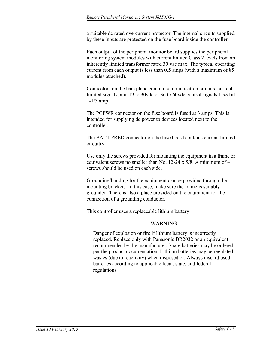<span id="page-30-0"></span>a suitable dc rated overcurrent protector. The internal circuits supplied by these inputs are protected on the fuse board inside the controller.

Each output of the peripheral monitor board supplies the peripheral monitoring system modules with current limited Class 2 levels from an inherently limited transformer rated 30 vac max. The typical operating current from each output is less than 0.5 amps (with a maximum of 85 modules attached).

Connectors on the backplane contain communication circuits, current limited signals, and 19 to 30vdc or 36 to 60vdc control signals fused at 1-1/3 amp.

The PCPWR connector on the fuse board is fused at 3 amps. This is intended for supplying dc power to devices located next to the controller.

The BATT PRED connector on the fuse board contains current limited circuitry.

Use only the screws provided for mounting the equipment in a frame or equivalent screws no smaller than No. 12-24 x 5/8. A minimum of 4 screws should be used on each side.

Grounding/bonding for the equipment can be provided through the mounting brackets. In this case, make sure the frame is suitably grounded. There is also a place provided on the equipment for the connection of a grounding conductor.

This controller uses a replaceable lithium battery:

#### **WARNING**

Danger of explosion or fire if lithium battery is incorrectly replaced. Replace only with Panasonic BR2032 or an equivalent recommended by the manufacturer. Spare batteries may be ordered per the product documentation. Lithium batteries may be regulated wastes (due to reactivity) when disposed of. Always discard used batteries according to applicable local, state, and federal regulations.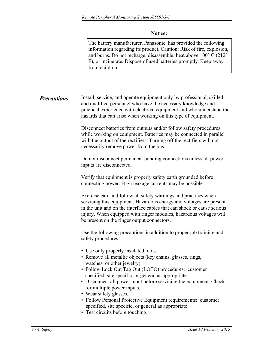#### **Notice:**

<span id="page-31-0"></span>The battery manufacturer, Panasonic, has provided the following information regarding its product. Caution: Risk of fire, explosion, and burns. Do not recharge, disassemble, heat above 100° C (212° F), or incinerate. Dispose of used batteries promptly. Keep away from children.

#### Install, service, and operate equipment only by professional, skilled and qualified personnel who have the necessary knowledge and practical experience with electrical equipment and who understand the hazards that can arise when working on this type of equipment. *Precautions*

Disconnect batteries from outputs and/or follow safety procedures while working on equipment. Batteries may be connected in parallel with the output of the rectifiers. Turning off the rectifiers will not necessarily remove power from the bus.

Do not disconnect permanent bonding connections unless all power inputs are disconnected.

Verify that equipment is properly safety earth grounded before connecting power. High leakage currents may be possible.

Exercise care and follow all safety warnings and practices when servicing this equipment. Hazardous energy and voltages are present in the unit and on the interface cables that can shock or cause serious injury. When equipped with ringer modules, hazardous voltages will be present on the ringer output connectors.

Use the following precautions in addition to proper job training and safety procedures:

- Use only properly insulated tools.
- Remove all metallic objects (key chains, glasses, rings, watches, or other jewelry).
- Follow Lock Out Tag Out (LOTO) procedures: customer specified, site specific, or general as appropriate.
- Disconnect all power input before servicing the equipment. Check for multiple power inputs.
- Wear safety glasses.
- Follow Personal Protective Equipment requirements: customer specified, site specific, or general as appropriate.
- Test circuits before touching.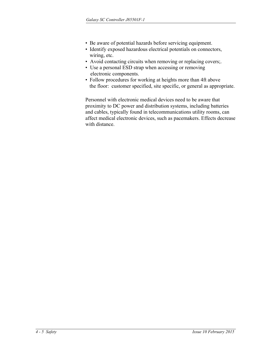- Be aware of potential hazards before servicing equipment.
- Identify exposed hazardous electrical potentials on connectors, wiring, etc.
- Avoid contacting circuits when removing or replacing covers;.
- Use a personal ESD strap when accessing or removing electronic components.
- Follow procedures for working at heights more than 4ft above the floor: customer specified, site specific, or general as appropriate.

Personnel with electronic medical devices need to be aware that proximity to DC power and distribution systems, including batteries and cables, typically found in telecommunications utility rooms, can affect medical electronic devices, such as pacemakers. Effects decrease with distance.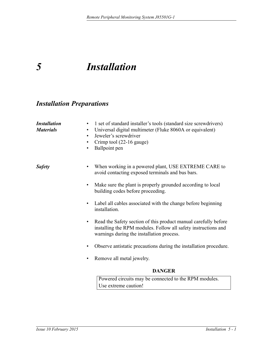## <span id="page-33-1"></span><span id="page-33-0"></span>*5 Installation*

### <span id="page-33-2"></span>*Installation Preparations*

<span id="page-33-4"></span><span id="page-33-3"></span>

| <b>Installation</b><br><b>Materials</b> | 1 set of standard installer's tools (standard size screwdrivers)<br>٠<br>Universal digital multimeter (Fluke 8060A or equivalent)<br>٠<br>Jeweler's screwdriver<br>٠<br>Crimp tool (22-16 gauge)<br>٠<br>Ballpoint pen<br>٠ |
|-----------------------------------------|-----------------------------------------------------------------------------------------------------------------------------------------------------------------------------------------------------------------------------|
| <b>Safety</b>                           | When working in a powered plant, USE EXTREME CARE to<br>avoid contacting exposed terminals and bus bars.                                                                                                                    |
|                                         | Make sure the plant is properly grounded according to local<br>٠<br>building codes before proceeding.                                                                                                                       |
|                                         | Label all cables associated with the change before beginning<br>installation.                                                                                                                                               |
|                                         | Read the Safety section of this product manual carefully before<br>$\bullet$<br>installing the RPM modules. Follow all safety instructions and<br>warnings during the installation process.                                 |
|                                         | Observe antistatic precautions during the installation procedure.                                                                                                                                                           |
|                                         | Remove all metal jewelry.                                                                                                                                                                                                   |
|                                         | <b>DANGER</b>                                                                                                                                                                                                               |
|                                         | Powered circuits may be connected to the RPM modules.<br>Use extreme caution!                                                                                                                                               |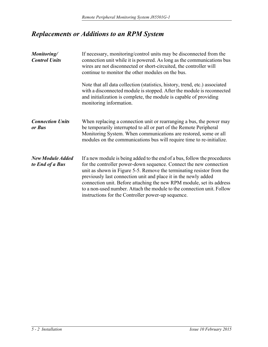### <span id="page-34-0"></span>*Replacements or Additions to an RPM System*

<span id="page-34-3"></span><span id="page-34-2"></span><span id="page-34-1"></span>

| Monitoring/<br><b>Control Units</b>        | If necessary, monitoring/control units may be disconnected from the<br>connection unit while it is powered. As long as the communications bus<br>wires are not disconnected or short-circuited, the controller will<br>continue to monitor the other modules on the bus.                                                                                                                                                                                                                             |  |
|--------------------------------------------|------------------------------------------------------------------------------------------------------------------------------------------------------------------------------------------------------------------------------------------------------------------------------------------------------------------------------------------------------------------------------------------------------------------------------------------------------------------------------------------------------|--|
|                                            | Note that all data collection (statistics, history, trend, etc.) associated<br>with a disconnected module is stopped. After the module is reconnected<br>and initialization is complete, the module is capable of providing<br>monitoring information.                                                                                                                                                                                                                                               |  |
| <b>Connection Units</b><br>or Bus          | When replacing a connection unit or rearranging a bus, the power may<br>be temporarily interrupted to all or part of the Remote Peripheral<br>Monitoring System. When communications are restored, some or all<br>modules on the communications bus will require time to re-initialize.                                                                                                                                                                                                              |  |
| <b>New Module Added</b><br>to End of a Bus | If a new module is being added to the end of a bus, follow the procedures<br>for the controller power-down sequence. Connect the new connection<br>unit as shown in Figure 5-5. Remove the terminating resistor from the<br>previously last connection unit and place it in the newly added<br>connection unit. Before attaching the new RPM module, set its address<br>to a non-used number. Attach the module to the connection unit. Follow<br>instructions for the Controller power-up sequence. |  |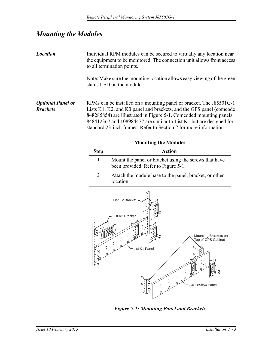### <span id="page-35-0"></span>*Mounting the Modules*

<span id="page-35-2"></span><span id="page-35-1"></span>

| <b>Location</b>          | Individual RPM modules can be secured to virtually any location near<br>the equipment to be monitored. The connection unit allows front access<br>to all termination points.                                                                                                          |
|--------------------------|---------------------------------------------------------------------------------------------------------------------------------------------------------------------------------------------------------------------------------------------------------------------------------------|
|                          | Note: Make sure the mounting location allows easy viewing of the green<br>status LED on the module.                                                                                                                                                                                   |
| <b>Optional Panel or</b> | RPMs can be installed on a mounting panel or bracket. The J85501G-1                                                                                                                                                                                                                   |
| <b>Brackets</b>          | Lists K1, K2, and K3 panel and brackets, and the GPS panel (comcode<br>848285854) are illustrated in Figure 5-1. Comcoded mounting panels<br>848412367 and 108984477 are similar to List K1 but are designed for<br>standard 23-inch frames. Refer to Section 2 for more information. |

<span id="page-35-3"></span>

| <b>Mounting the Modules</b>                                                                                          |                                                                                              |  |  |
|----------------------------------------------------------------------------------------------------------------------|----------------------------------------------------------------------------------------------|--|--|
| <b>Step</b>                                                                                                          | <b>Action</b>                                                                                |  |  |
| $\mathbf{1}$                                                                                                         | Mount the panel or bracket using the screws that have<br>been provided. Refer to Figure 5-1. |  |  |
| $\overline{2}$                                                                                                       | Attach the module base to the panel, bracket, or other<br>location.                          |  |  |
| List K2 Bracket<br>List K3 Bracket<br>Mounting Brackets on<br>Top of GPS Cabinet<br>List K1 Panel<br>848285854 Panel |                                                                                              |  |  |
| <b>Figure 5-1: Mounting Panel and Brackets</b>                                                                       |                                                                                              |  |  |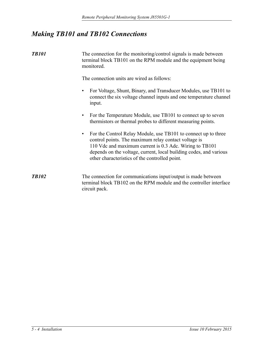### <span id="page-36-0"></span>*Making TB101 and TB102 Connections*

<span id="page-36-1"></span>*TB101* The connection for the monitoring/control signals is made between terminal block TB101 on the RPM module and the equipment being monitored.

The connection units are wired as follows:

- For Voltage, Shunt, Binary, and Transducer Modules, use TB101 to connect the six voltage channel inputs and one temperature channel input.
- For the Temperature Module, use TB101 to connect up to seven thermistors or thermal probes to different measuring points.
- For the Control Relay Module, use TB101 to connect up to three control points. The maximum relay contact voltage is 110 Vdc and maximum current is 0.3 Adc. Wiring to TB101 depends on the voltage, current, local building codes, and various other characteristics of the controlled point.
- <span id="page-36-2"></span>*TB102* The connection for communications input/output is made between terminal block TB102 on the RPM module and the controller interface circuit pack.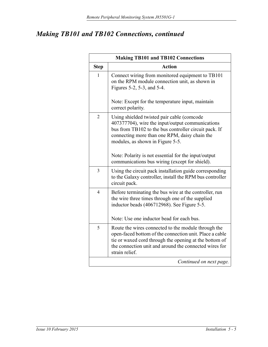| <b>Making TB101 and TB102 Connections</b> |                                                                                                                                                                                                                                                      |  |
|-------------------------------------------|------------------------------------------------------------------------------------------------------------------------------------------------------------------------------------------------------------------------------------------------------|--|
| <b>Step</b>                               | <b>Action</b>                                                                                                                                                                                                                                        |  |
| $\mathbf{1}$                              | Connect wiring from monitored equipment to TB101<br>on the RPM module connection unit, as shown in<br>Figures 5-2, 5-3, and 5-4.<br>Note: Except for the temperature input, maintain                                                                 |  |
|                                           | correct polarity.                                                                                                                                                                                                                                    |  |
| $\overline{2}$                            | Using shielded twisted pair cable (comcode<br>407377704), wire the input/output communications<br>bus from TB102 to the bus controller circuit pack. If<br>connecting more than one RPM, daisy chain the<br>modules, as shown in Figure 5-5.         |  |
|                                           | Note: Polarity is not essential for the input/output<br>communications bus wiring (except for shield).                                                                                                                                               |  |
| 3                                         | Using the circuit pack installation guide corresponding<br>to the Galaxy controller, install the RPM bus controller<br>circuit pack.                                                                                                                 |  |
| $\overline{4}$                            | Before terminating the bus wire at the controller, run<br>the wire three times through one of the supplied<br>inductor beads (406712968). See Figure 5-5.<br>Note: Use one inductor bead for each bus.                                               |  |
| 5                                         | Route the wires connected to the module through the<br>open-faced bottom of the connection unit. Place a cable<br>tie or waxed cord through the opening at the bottom of<br>the connection unit and around the connected wires for<br>strain relief. |  |
|                                           | Continued on next page.                                                                                                                                                                                                                              |  |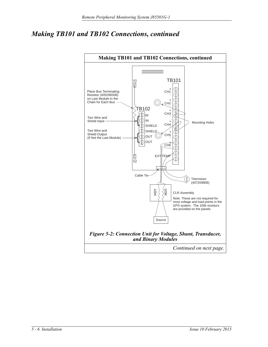<span id="page-38-0"></span>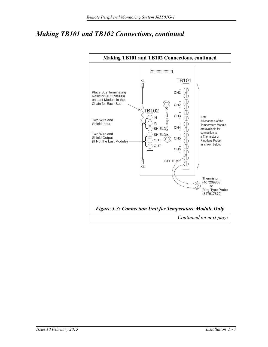<span id="page-39-0"></span>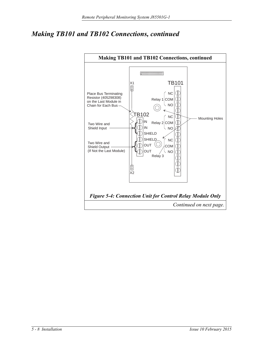<span id="page-40-0"></span>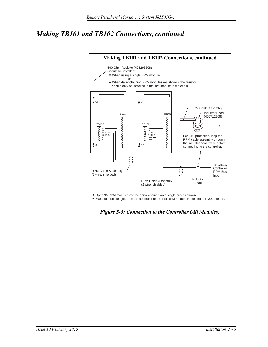<span id="page-41-0"></span>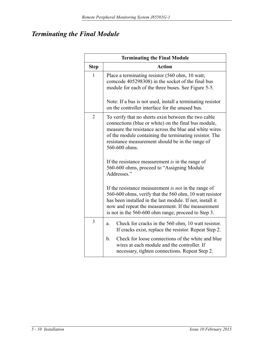### <span id="page-42-0"></span>*Terminating the Final Module*

| <b>Terminating the Final Module</b> |                                                                                                                                                                                                                                                                                                       |  |  |
|-------------------------------------|-------------------------------------------------------------------------------------------------------------------------------------------------------------------------------------------------------------------------------------------------------------------------------------------------------|--|--|
| <b>Step</b>                         | <b>Action</b>                                                                                                                                                                                                                                                                                         |  |  |
| 1                                   | Place a terminating resistor (560 ohm, 10 watt;<br>comcode 405298308) in the socket of the final bus<br>module for each of the three buses. See Figure 5-5.                                                                                                                                           |  |  |
|                                     | Note: If a bus is not used, install a terminating resistor<br>on the controller interface for the unused bus.                                                                                                                                                                                         |  |  |
| $\overline{2}$                      | To verify that no shorts exist between the two cable<br>connections (blue or white) on the final bus module,<br>measure the resistance across the blue and white wires<br>of the module containing the terminating resistor. The<br>resistance measurement should be in the range of<br>560-600 ohms. |  |  |
|                                     | If the resistance measurement is in the range of<br>560-600 ohms, proceed to "Assigning Module<br>Addresses."                                                                                                                                                                                         |  |  |
|                                     | If the resistance measurement is <i>not</i> in the range of<br>560-600 ohms, verify that the 560 ohm, 10 watt resistor<br>has been installed in the last module. If not, install it<br>now and repeat the measurement. If the measurement<br>is not in the 560-600 ohm range, proceed to Step 3.      |  |  |
| 3                                   | Check for cracks in the 560 ohm, 10 watt resistor.<br>a.<br>If cracks exist, replace the resistor. Repeat Step 2.                                                                                                                                                                                     |  |  |
|                                     | Check for loose connections of the white and blue<br>b.<br>wires at each module and the controller. If<br>necessary, tighten connections. Repeat Step 2.                                                                                                                                              |  |  |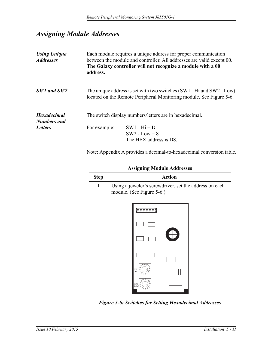### <span id="page-43-0"></span>*Assigning Module Addresses*

<span id="page-43-3"></span><span id="page-43-2"></span><span id="page-43-1"></span>

| <b>Using Unique</b><br><b>Addresses</b>  | Each module requires a unique address for proper communication<br>between the module and controller. All addresses are valid except 00.<br>The Galaxy controller will not recognize a module with a 00<br>address. |                                                             |  |
|------------------------------------------|--------------------------------------------------------------------------------------------------------------------------------------------------------------------------------------------------------------------|-------------------------------------------------------------|--|
| SW1 and SW2                              | The unique address is set with two switches (SW1 - Hi and SW2 - Low)<br>located on the Remote Peripheral Monitoring module. See Figure 5-6.                                                                        |                                                             |  |
| <b>Hexadecimal</b><br><b>Numbers</b> and | The switch display numbers/letters are in hexadecimal.                                                                                                                                                             |                                                             |  |
| <b>Letters</b>                           | For example:                                                                                                                                                                                                       | $SW1 - Hi = D$<br>$SW2$ - Low = 8<br>The HEX address is D8. |  |

Note: Appendix A provides a decimal-to-hexadecimal conversion table.

<span id="page-43-4"></span>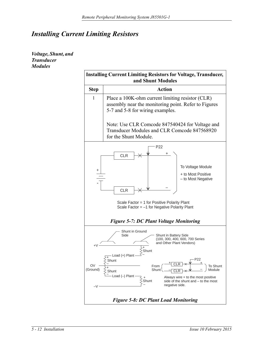### <span id="page-44-0"></span>*Installing Current Limiting Resistors*

<span id="page-44-1"></span>*Voltage, Shunt, and Transducer Modules*

<span id="page-44-3"></span><span id="page-44-2"></span>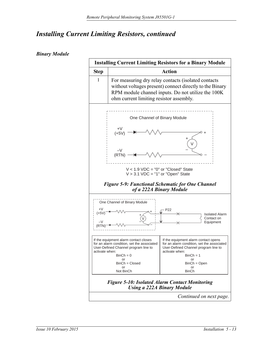#### <span id="page-45-0"></span>*Binary Module*

<span id="page-45-1"></span>

<span id="page-45-2"></span>*Continued on next page.*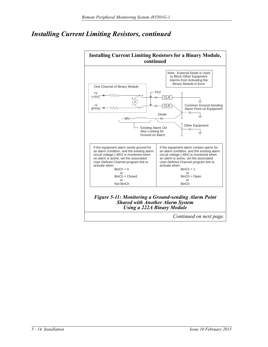

<span id="page-46-0"></span>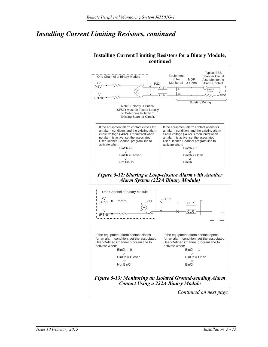<span id="page-47-0"></span>

<span id="page-47-1"></span>*Continued on next page.*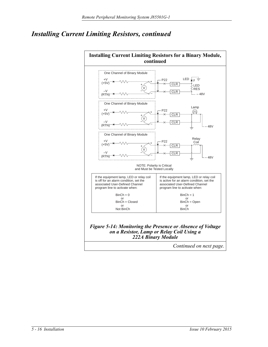<span id="page-48-0"></span>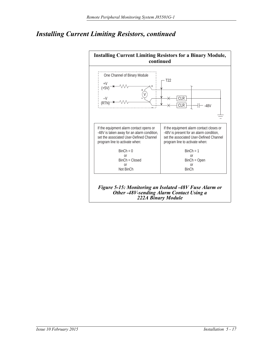

<span id="page-49-0"></span>*222A Binary Module*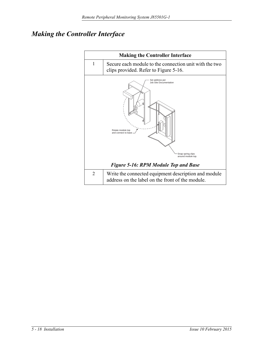### *Making the Controller Interface*

<span id="page-50-0"></span>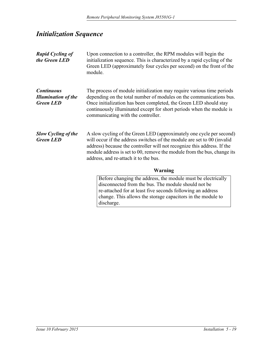### <span id="page-51-0"></span>*Initialization Sequence*

<span id="page-51-3"></span><span id="page-51-2"></span><span id="page-51-1"></span>

| <b>Rapid Cycling of</b><br>the Green LED                            | Upon connection to a controller, the RPM modules will begin the<br>initialization sequence. This is characterized by a rapid cycling of the<br>Green LED (approximately four cycles per second) on the front of the<br>module.                                                                                                                 |  |
|---------------------------------------------------------------------|------------------------------------------------------------------------------------------------------------------------------------------------------------------------------------------------------------------------------------------------------------------------------------------------------------------------------------------------|--|
| <b>Continuous</b><br><b>Illumination of the</b><br><b>Green LED</b> | The process of module initialization may require various time periods<br>depending on the total number of modules on the communications bus.<br>Once initialization has been completed, the Green LED should stay<br>continuously illuminated except for short periods when the module is<br>communicating with the controller.                |  |
| <b>Slow Cycling of the</b><br><b>Green LED</b>                      | A slow cycling of the Green LED (approximately one cycle per second)<br>will occur if the address switches of the module are set to 00 (invalid<br>address) because the controller will not recognize this address. If the<br>module address is set to 00, remove the module from the bus, change its<br>address, and re-attach it to the bus. |  |
|                                                                     | <b>Warning</b>                                                                                                                                                                                                                                                                                                                                 |  |
|                                                                     | Before changing the address, the module must be electrically<br>disconnected from the bus. The module should not be                                                                                                                                                                                                                            |  |
|                                                                     | re-attached for at least five seconds following an address<br>change. This allows the storage capacitors in the module to<br>discharge.                                                                                                                                                                                                        |  |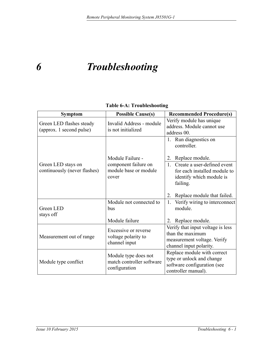## <span id="page-53-0"></span>*6 Troubleshooting*

#### <span id="page-53-1"></span>**Table 6-A: Troubleshooting**

<span id="page-53-2"></span>

| <b>Symptom</b>                                       | <b>Possible Cause(s)</b>                                           | <b>Recommended Procedure(s)</b>                                                                                 |
|------------------------------------------------------|--------------------------------------------------------------------|-----------------------------------------------------------------------------------------------------------------|
| Green LED flashes steady<br>(approx. 1 second pulse) | Invalid Address - module<br>is not initialized                     | Verify module has unique<br>address. Module cannot use<br>address 00.                                           |
|                                                      | Module Failure -                                                   | 1. Run diagnostics on<br>controller.<br>Replace module.<br>2.                                                   |
| Green LED stays on<br>continuously (never flashes)   | component failure on<br>module base or module<br>cover             | Create a user-defined event<br>1<br>for each installed module to<br>identify which module is<br>failing.        |
|                                                      |                                                                    | 2.<br>Replace module that failed.                                                                               |
| <b>Green LED</b><br>stays off                        | Module not connected to<br>bus                                     | Verify wiring to interconnect<br>1.<br>module.                                                                  |
|                                                      | Module failure                                                     | 2. Replace module.                                                                                              |
| Measurement out of range                             | Excessive or reverse<br>voltage polarity to<br>channel input       | Verify that input voltage is less<br>than the maximum<br>measurement voltage. Verify<br>channel input polarity. |
| Module type conflict                                 | Module type does not<br>match controller software<br>configuration | Replace module with correct<br>type or unlock and change<br>software configuration (see<br>controller manual).  |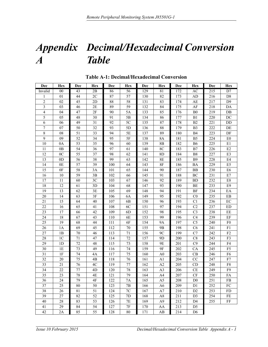### <span id="page-55-0"></span>*Appendix Decimal/Hexadecimal Conversion A Table*

<span id="page-55-2"></span>

| Dec                     | Hex            | Dec | Hex | Dec | Hex            | Dec | <b>Hex</b>     | Dec | <b>Hex</b>     | Dec | Hex            |
|-------------------------|----------------|-----|-----|-----|----------------|-----|----------------|-----|----------------|-----|----------------|
| Invalid                 | 00             | 43  | 2B  | 86  | 56             | 129 | 81             | 172 | AC             | 215 | D7             |
| 1                       | 01             | 44  | 2C  | 87  | 57             | 130 | 82             | 173 | AD             | 216 | D <sub>8</sub> |
| $\overline{c}$          | 02             | 45  | 2D  | 88  | 58             | 131 | 83             | 174 | AE             | 217 | D <sub>9</sub> |
| $\overline{\mathbf{3}}$ | 03             | 46  | 2E  | 89  | 59             | 132 | 84             | 175 | AF             | 218 | DA             |
| $\overline{\mathbf{4}}$ | 04             | 47  | 2F  | 90  | 5A             | 133 | 85             | 176 | B <sub>0</sub> | 219 | $DB$           |
| 5                       | 05             | 48  | 30  | 91  | 5B             | 134 | 86             | 177 | B1             | 220 | DC             |
| 6                       | 06             | 49  | 31  | 92  | 5C             | 135 | 87             | 178 | B <sub>2</sub> | 221 | DD             |
| $\boldsymbol{7}$        | 07             | 50  | 32  | 93  | 5D             | 136 | 88             | 179 | B <sub>3</sub> | 222 | DE             |
| $\,$ 8 $\,$             | 08             | 51  | 33  | 94  | 5E             | 137 | 89             | 180 | <b>B4</b>      | 223 | DF             |
| 9                       | 09             | 52  | 34  | 95  | $5\mathrm{F}$  | 138 | $8\mathrm{A}$  | 181 | B <sub>5</sub> | 224 | E0             |
| 10                      | 0A             | 53  | 35  | 96  | 60             | 139 | 8B             | 182 | <b>B6</b>      | 225 | $\rm E1$       |
| 11                      | 0B             | 54  | 36  | 97  | 61             | 140 | 8C             | 183 | B7             | 226 | E2             |
| 12                      | 0 <sub>C</sub> | 55  | 37  | 98  | 62             | 141 | 8D             | 184 | <b>B8</b>      | 227 | E3             |
| 13                      | 0 <sub>D</sub> | 56  | 38  | 99  | 63             | 142 | 8E             | 185 | <b>B9</b>      | 228 | E4             |
| 14                      | 0E             | 57  | 39  | 100 | 64             | 143 | 8F             | 186 | BA             | 229 | E <sub>5</sub> |
| 15                      | 0F             | 58  | 3A  | 101 | 65             | 144 | 90             | 187 | BB             | 230 | E <sub>6</sub> |
| 16                      | 10             | 59  | 3B  | 102 | 66             | 145 | 91             | 188 | BC             | 231 | $\rm E7$       |
| 17                      | 11             | 60  | 3C  | 103 | 67             | 146 | 92             | 189 | <b>BD</b>      | 232 | $\mathrm{E}8$  |
| 18                      | 12             | 61  | 3D  | 104 | 68             | 147 | 93             | 190 | BE             | 233 | E <sub>9</sub> |
| 19                      | 13             | 62  | 3E  | 105 | 69             | 148 | 94             | 191 | BF             | 234 | EA             |
| 20                      | 14             | 63  | 3F  | 106 | 6A             | 149 | 95             | 192 | C <sub>0</sub> | 235 | ${\rm EB}$     |
| 21                      | 15             | 64  | 40  | 107 | 6 <sub>B</sub> | 150 | 96             | 193 | C1             | 236 | $\rm EC$       |
| 22                      | 16             | 65  | 41  | 108 | 6C             | 151 | 97             | 194 | C <sub>2</sub> | 237 | ${\rm ED}$     |
| 23                      | 17             | 66  | 42  | 109 | 6D             | 152 | 98             | 195 | C <sub>3</sub> | 238 | $\rm EE$       |
| 24                      | 18             | 67  | 43  | 110 | 6E             | 153 | 99             | 196 | C <sub>4</sub> | 239 | $\rm EF$       |
| 25                      | 19             | 68  | 44  | 111 | 6F             | 154 | <b>9A</b>      | 197 | C <sub>5</sub> | 240 | F <sub>0</sub> |
| 26                      | 1A             | 69  | 45  | 112 | 70             | 155 | 9 <sub>B</sub> | 198 | C <sub>6</sub> | 241 | ${\rm F1}$     |
| 27                      | 1B             | 70  | 46  | 113 | $71\,$         | 156 | 9C             | 199 | C7             | 242 | F2             |
| 28                      | 1 <sup>C</sup> | 71  | 47  | 114 | $72\,$         | 157 | 9D             | 200 | C8             | 243 | F3             |
| 29                      | 1 <sub>D</sub> | 72  | 48  | 115 | 73             | 158 | 9E             | 201 | C9             | 244 | F4             |
| 30                      | 1E             | 73  | 49  | 116 | 74             | 159 | 9F             | 202 | CA             | 245 | F <sub>5</sub> |
| 31                      | 1F             | 74  | 4A  | 117 | 75             | 160 | A <sub>0</sub> | 203 | CB             | 246 | F <sub>6</sub> |
| 32                      | 20             | 75  | 4B  | 118 | 76             | 161 | A <sub>1</sub> | 204 | CC             | 247 | F7             |
| 33                      | 21             | 76  | 4C  | 119 | $77 \,$        | 162 | A2             | 205 | CD             | 248 | ${\rm F}8$     |
| 34                      | 22             | 77  | 4D  | 120 | 78             | 163 | A <sub>3</sub> | 206 | CE             | 249 | F9             |
| 35                      | 23             | 78  | 4Ε  | 121 | 79             | 164 | A <sub>4</sub> | 207 | CF             | 250 | FA             |
| 36                      | 24             | 79  | 4F  | 122 | 7Α             | 165 | A5             | 208 | D <sub>0</sub> | 251 | FB             |
| 37                      | 25             | 80  | 50  | 123 | 7B             | 166 | A <sub>6</sub> | 209 | D1             | 252 | FC             |
| 38                      | $26\,$         | 81  | 51  | 124 | $7\mathrm{C}$  | 167 | A7             | 210 | D <sub>2</sub> | 253 | FD             |
| 39                      | $27\,$         | 82  | 52  | 125 | 7D             | 168 | A8             | 211 | D <sub>3</sub> | 254 | FE             |
| 40                      | $28\,$         | 83  | 53  | 126 | 7Ε             | 169 | A <sub>9</sub> | 212 | D <sub>4</sub> | 255 | FF             |
| 41                      | 29             | 84  | 54  | 127 | 7F             | 170 | AA             | 213 | D5             |     |                |
| 42                      | 2A             | 85  | 55  | 128 | 80             | 171 | AB             | 214 | D <sub>6</sub> |     |                |

#### <span id="page-55-1"></span>**Table A-1: Decimal/Hexadecimal Conversion**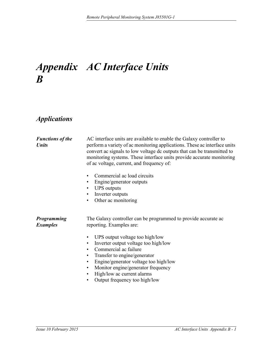## <span id="page-57-0"></span>*Appendix AC Interface Units B*

### <span id="page-57-1"></span>*Applications*

<span id="page-57-3"></span><span id="page-57-2"></span>

| <b>Functions of the</b><br><b>Units</b> | AC interface units are available to enable the Galaxy controller to<br>perform a variety of ac monitoring applications. These ac interface units<br>convert ac signals to low voltage dc outputs that can be transmitted to<br>monitoring systems. These interface units provide accurate monitoring<br>of ac voltage, current, and frequency of:<br>Commercial ac load circuits<br>Engine/generator outputs<br>$\bullet$<br><b>UPS</b> outputs<br>$\bullet$<br>Inverter outputs<br>$\bullet$<br>Other ac monitoring<br>$\bullet$ |
|-----------------------------------------|-----------------------------------------------------------------------------------------------------------------------------------------------------------------------------------------------------------------------------------------------------------------------------------------------------------------------------------------------------------------------------------------------------------------------------------------------------------------------------------------------------------------------------------|
| <b>Programming</b><br><b>Examples</b>   | The Galaxy controller can be programmed to provide accurate ac<br>reporting. Examples are:<br>UPS output voltage too high/low<br>٠<br>Inverter output voltage too high/low<br>$\bullet$<br>Commercial ac failure<br>$\bullet$<br>Transfer to engine/generator<br>$\bullet$<br>Engine/generator voltage too high/low<br>$\bullet$<br>Monitor engine/generator frequency<br>$\bullet$<br>High/low ac current alarms<br>٠<br>Output frequency too high/low<br>$\bullet$                                                              |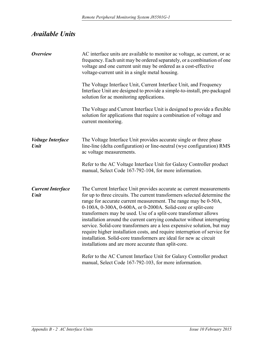### <span id="page-58-0"></span>*Available Units*

<span id="page-58-3"></span><span id="page-58-2"></span><span id="page-58-1"></span>

| <b>Overview</b>                  | AC interface units are available to monitor ac voltage, ac current, or ac<br>frequency. Each unit may be ordered separately, or a combination of one<br>voltage and one current unit may be ordered as a cost-effective<br>voltage-current unit in a single metal housing.                                                                                                                                                                                                                                                                                                                                                                                                                                                 |
|----------------------------------|----------------------------------------------------------------------------------------------------------------------------------------------------------------------------------------------------------------------------------------------------------------------------------------------------------------------------------------------------------------------------------------------------------------------------------------------------------------------------------------------------------------------------------------------------------------------------------------------------------------------------------------------------------------------------------------------------------------------------|
|                                  | The Voltage Interface Unit, Current Interface Unit, and Frequency<br>Interface Unit are designed to provide a simple-to-install, pre-packaged<br>solution for ac monitoring applications.                                                                                                                                                                                                                                                                                                                                                                                                                                                                                                                                  |
|                                  | The Voltage and Current Interface Unit is designed to provide a flexible<br>solution for applications that require a combination of voltage and<br>current monitoring.                                                                                                                                                                                                                                                                                                                                                                                                                                                                                                                                                     |
| <b>Voltage Interface</b><br>Unit | The Voltage Interface Unit provides accurate single or three phase<br>line-line (delta configuration) or line-neutral (wye configuration) RMS<br>ac voltage measurements.                                                                                                                                                                                                                                                                                                                                                                                                                                                                                                                                                  |
|                                  | Refer to the AC Voltage Interface Unit for Galaxy Controller product<br>manual, Select Code 167-792-104, for more information.                                                                                                                                                                                                                                                                                                                                                                                                                                                                                                                                                                                             |
| <b>Current Interface</b><br>Unit | The Current Interface Unit provides accurate ac current measurements<br>for up to three circuits. The current transformers selected determine the<br>range for accurate current measurement. The range may be 0-50A,<br>0-100A, 0-300A, 0-600A, or 0-2000A. Solid-core or split-core<br>transformers may be used. Use of a split-core transformer allows<br>installation around the current carrying conductor without interrupting<br>service. Solid-core transformers are a less expensive solution, but may<br>require higher installation costs, and require interruption of service for<br>installation. Solid-core transformers are ideal for new ac circuit<br>installations and are more accurate than split-core. |
|                                  | Refer to the AC Current Interface Unit for Galaxy Controller product<br>manual, Select Code 167-792-103, for more information.                                                                                                                                                                                                                                                                                                                                                                                                                                                                                                                                                                                             |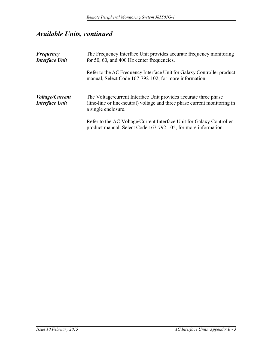### *Available Units, continued*

<span id="page-59-1"></span><span id="page-59-0"></span>

| <b>Frequency</b><br><b>Interface Unit</b>       | The Frequency Interface Unit provides accurate frequency monitoring<br>for 50, 60, and 400 Hz center frequencies.                                                    |
|-------------------------------------------------|----------------------------------------------------------------------------------------------------------------------------------------------------------------------|
|                                                 | Refer to the AC Frequency Interface Unit for Galaxy Controller product<br>manual, Select Code 167-792-102, for more information.                                     |
| <i>Voltage/Current</i><br><b>Interface Unit</b> | The Voltage/current Interface Unit provides accurate three phase<br>(line-line or line-neutral) voltage and three phase current monitoring in<br>a single enclosure. |
|                                                 | Refer to the AC Voltage/Current Interface Unit for Galaxy Controller<br>product manual, Select Code 167-792-105, for more information.                               |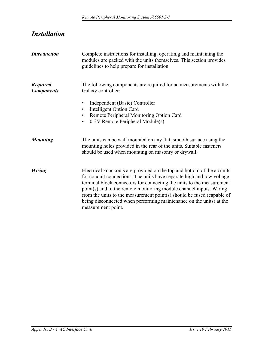### <span id="page-60-0"></span>*Installation*

<span id="page-60-4"></span><span id="page-60-3"></span><span id="page-60-2"></span><span id="page-60-1"></span>

| <b>Introduction</b>                  | Complete instructions for installing, operating and maintaining the<br>modules are packed with the units themselves. This section provides<br>guidelines to help prepare for installation.                                                                                                                                                                                                                                                                              |
|--------------------------------------|-------------------------------------------------------------------------------------------------------------------------------------------------------------------------------------------------------------------------------------------------------------------------------------------------------------------------------------------------------------------------------------------------------------------------------------------------------------------------|
| <b>Required</b><br><b>Components</b> | The following components are required for ac measurements with the<br>Galaxy controller:                                                                                                                                                                                                                                                                                                                                                                                |
|                                      | Independent (Basic) Controller<br>$\bullet$<br><b>Intelligent Option Card</b><br>$\bullet$<br>Remote Peripheral Monitoring Option Card<br>$\bullet$<br>0-3V Remote Peripheral Module(s)<br>$\bullet$                                                                                                                                                                                                                                                                    |
| <b>Mounting</b>                      | The units can be wall mounted on any flat, smooth surface using the<br>mounting holes provided in the rear of the units. Suitable fasteners<br>should be used when mounting on masonry or drywall.                                                                                                                                                                                                                                                                      |
| <b>Wiring</b>                        | Electrical knockouts are provided on the top and bottom of the ac units<br>for conduit connections. The units have separate high and low voltage<br>terminal block connectors for connecting the units to the measurement<br>point(s) and to the remote monitoring module channel inputs. Wiring<br>from the units to the measurement point(s) should be fused (capable of<br>being disconnected when performing maintenance on the units) at the<br>measurement point. |